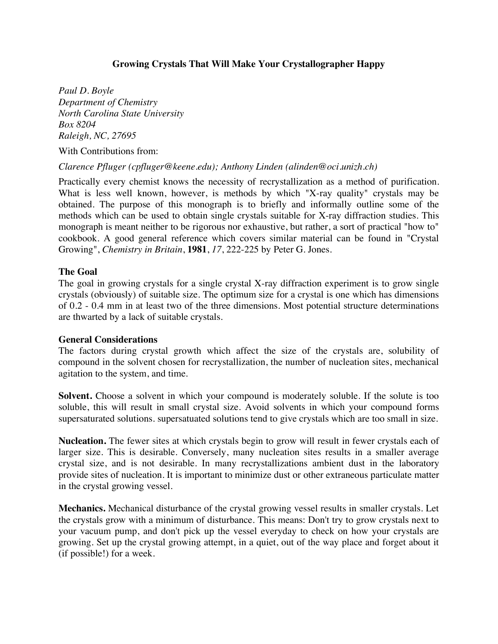## **Growing Crystals That Will Make Your Crystallographer Happy**

*Paul D. Boyle Department of Chemistry North Carolina State University Box 8204 Raleigh, NC, 27695*

With Contributions from:

*Clarence Pfluger (cpfluger@keene.edu); Anthony Linden (alinden@oci.unizh.ch)* 

Practically every chemist knows the necessity of recrystallization as a method of purification. What is less well known, however, is methods by which "X-ray quality" crystals may be obtained. The purpose of this monograph is to briefly and informally outline some of the methods which can be used to obtain single crystals suitable for X-ray diffraction studies. This monograph is meant neither to be rigorous nor exhaustive, but rather, a sort of practical "how to" cookbook. A good general reference which covers similar material can be found in "Crystal Growing", *Chemistry in Britain*, **1981**, *17*, 222-225 by Peter G. Jones.

#### **The Goal**

The goal in growing crystals for a single crystal X-ray diffraction experiment is to grow single crystals (obviously) of suitable size. The optimum size for a crystal is one which has dimensions of 0.2 - 0.4 mm in at least two of the three dimensions. Most potential structure determinations are thwarted by a lack of suitable crystals.

#### **General Considerations**

The factors during crystal growth which affect the size of the crystals are, solubility of compound in the solvent chosen for recrystallization, the number of nucleation sites, mechanical agitation to the system, and time.

**Solvent.** Choose a solvent in which your compound is moderately soluble. If the solute is too soluble, this will result in small crystal size. Avoid solvents in which your compound forms supersaturated solutions. supersatuated solutions tend to give crystals which are too small in size.

**Nucleation.** The fewer sites at which crystals begin to grow will result in fewer crystals each of larger size. This is desirable. Conversely, many nucleation sites results in a smaller average crystal size, and is not desirable. In many recrystallizations ambient dust in the laboratory provide sites of nucleation. It is important to minimize dust or other extraneous particulate matter in the crystal growing vessel.

**Mechanics.** Mechanical disturbance of the crystal growing vessel results in smaller crystals. Let the crystals grow with a minimum of disturbance. This means: Don't try to grow crystals next to your vacuum pump, and don't pick up the vessel everyday to check on how your crystals are growing. Set up the crystal growing attempt, in a quiet, out of the way place and forget about it (if possible!) for a week.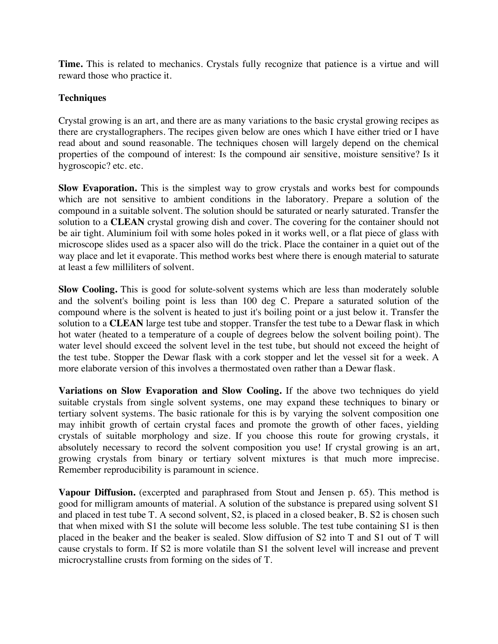**Time.** This is related to mechanics. Crystals fully recognize that patience is a virtue and will reward those who practice it.

## **Techniques**

Crystal growing is an art, and there are as many variations to the basic crystal growing recipes as there are crystallographers. The recipes given below are ones which I have either tried or I have read about and sound reasonable. The techniques chosen will largely depend on the chemical properties of the compound of interest: Is the compound air sensitive, moisture sensitive? Is it hygroscopic? etc. etc.

**Slow Evaporation.** This is the simplest way to grow crystals and works best for compounds which are not sensitive to ambient conditions in the laboratory. Prepare a solution of the compound in a suitable solvent. The solution should be saturated or nearly saturated. Transfer the solution to a **CLEAN** crystal growing dish and cover. The covering for the container should not be air tight. Aluminium foil with some holes poked in it works well, or a flat piece of glass with microscope slides used as a spacer also will do the trick. Place the container in a quiet out of the way place and let it evaporate. This method works best where there is enough material to saturate at least a few milliliters of solvent.

**Slow Cooling.** This is good for solute-solvent systems which are less than moderately soluble and the solvent's boiling point is less than 100 deg C. Prepare a saturated solution of the compound where is the solvent is heated to just it's boiling point or a just below it. Transfer the solution to a **CLEAN** large test tube and stopper. Transfer the test tube to a Dewar flask in which hot water (heated to a temperature of a couple of degrees below the solvent boiling point). The water level should exceed the solvent level in the test tube, but should not exceed the height of the test tube. Stopper the Dewar flask with a cork stopper and let the vessel sit for a week. A more elaborate version of this involves a thermostated oven rather than a Dewar flask.

**Variations on Slow Evaporation and Slow Cooling.** If the above two techniques do yield suitable crystals from single solvent systems, one may expand these techniques to binary or tertiary solvent systems. The basic rationale for this is by varying the solvent composition one may inhibit growth of certain crystal faces and promote the growth of other faces, yielding crystals of suitable morphology and size. If you choose this route for growing crystals, it absolutely necessary to record the solvent composition you use! If crystal growing is an art, growing crystals from binary or tertiary solvent mixtures is that much more imprecise. Remember reproducibility is paramount in science.

**Vapour Diffusion.** (excerpted and paraphrased from Stout and Jensen p. 65). This method is good for milligram amounts of material. A solution of the substance is prepared using solvent S1 and placed in test tube T. A second solvent, S2, is placed in a closed beaker, B. S2 is chosen such that when mixed with S1 the solute will become less soluble. The test tube containing S1 is then placed in the beaker and the beaker is sealed. Slow diffusion of S2 into T and S1 out of T will cause crystals to form. If S2 is more volatile than S1 the solvent level will increase and prevent microcrystalline crusts from forming on the sides of T.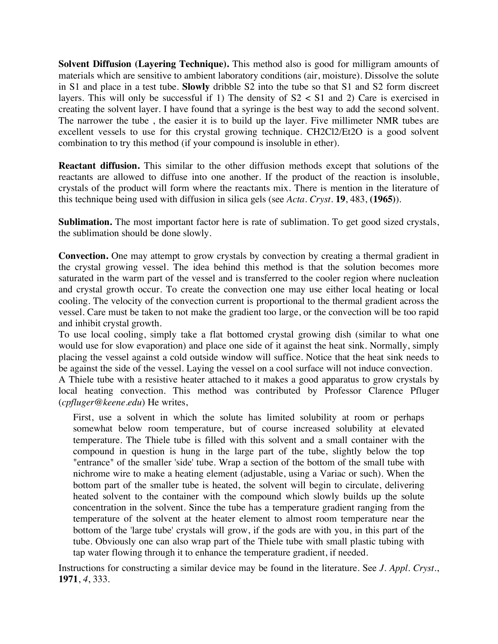**Solvent Diffusion (Layering Technique).** This method also is good for milligram amounts of materials which are sensitive to ambient laboratory conditions (air, moisture). Dissolve the solute in S1 and place in a test tube. **Slowly** dribble S2 into the tube so that S1 and S2 form discreet layers. This will only be successful if 1) The density of  $S2 < S1$  and 2) Care is exercised in creating the solvent layer. I have found that a syringe is the best way to add the second solvent. The narrower the tube , the easier it is to build up the layer. Five millimeter NMR tubes are excellent vessels to use for this crystal growing technique. CH2Cl2/Et2O is a good solvent combination to try this method (if your compound is insoluble in ether).

**Reactant diffusion.** This similar to the other diffusion methods except that solutions of the reactants are allowed to diffuse into one another. If the product of the reaction is insoluble, crystals of the product will form where the reactants mix. There is mention in the literature of this technique being used with diffusion in silica gels (see *Acta. Cryst.* **19**, 483, **(1965)**).

**Sublimation.** The most important factor here is rate of sublimation. To get good sized crystals, the sublimation should be done slowly.

**Convection.** One may attempt to grow crystals by convection by creating a thermal gradient in the crystal growing vessel. The idea behind this method is that the solution becomes more saturated in the warm part of the vessel and is transferred to the cooler region where nucleation and crystal growth occur. To create the convection one may use either local heating or local cooling. The velocity of the convection current is proportional to the thermal gradient across the vessel. Care must be taken to not make the gradient too large, or the convection will be too rapid and inhibit crystal growth.

To use local cooling, simply take a flat bottomed crystal growing dish (similar to what one would use for slow evaporation) and place one side of it against the heat sink. Normally, simply placing the vessel against a cold outside window will suffice. Notice that the heat sink needs to be against the side of the vessel. Laying the vessel on a cool surface will not induce convection.

A Thiele tube with a resistive heater attached to it makes a good apparatus to grow crystals by local heating convection. This method was contributed by Professor Clarence Pfluger (*cpfluger@keene.edu*) He writes,

First, use a solvent in which the solute has limited solubility at room or perhaps somewhat below room temperature, but of course increased solubility at elevated temperature. The Thiele tube is filled with this solvent and a small container with the compound in question is hung in the large part of the tube, slightly below the top "entrance" of the smaller 'side' tube. Wrap a section of the bottom of the small tube with nichrome wire to make a heating element (adjustable, using a Variac or such). When the bottom part of the smaller tube is heated, the solvent will begin to circulate, delivering heated solvent to the container with the compound which slowly builds up the solute concentration in the solvent. Since the tube has a temperature gradient ranging from the temperature of the solvent at the heater element to almost room temperature near the bottom of the 'large tube' crystals will grow, if the gods are with you, in this part of the tube. Obviously one can also wrap part of the Thiele tube with small plastic tubing with tap water flowing through it to enhance the temperature gradient, if needed.

Instructions for constructing a similar device may be found in the literature. See *J. Appl. Cryst.*, **1971**, *4*, 333.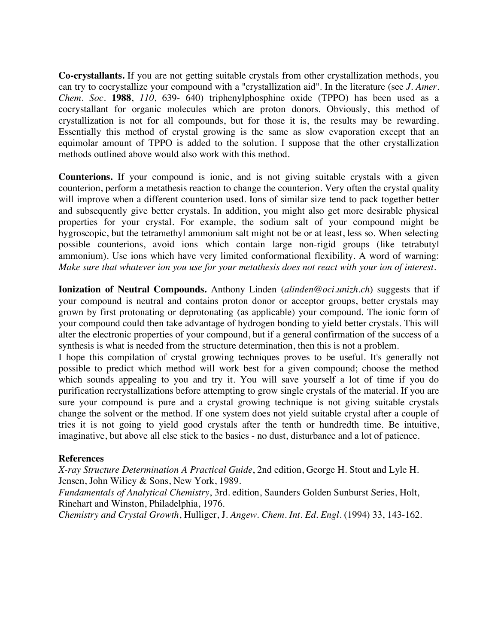**Co-crystallants.** If you are not getting suitable crystals from other crystallization methods, you can try to cocrystallize your compound with a "crystallization aid". In the literature (see *J. Amer. Chem. Soc.* **1988**, *110*, 639- 640) triphenylphosphine oxide (TPPO) has been used as a cocrystallant for organic molecules which are proton donors. Obviously, this method of crystallization is not for all compounds, but for those it is, the results may be rewarding. Essentially this method of crystal growing is the same as slow evaporation except that an equimolar amount of TPPO is added to the solution. I suppose that the other crystallization methods outlined above would also work with this method.

**Counterions.** If your compound is ionic, and is not giving suitable crystals with a given counterion, perform a metathesis reaction to change the counterion. Very often the crystal quality will improve when a different counterion used. Ions of similar size tend to pack together better and subsequently give better crystals. In addition, you might also get more desirable physical properties for your crystal. For example, the sodium salt of your compound might be hygroscopic, but the tetramethyl ammonium salt might not be or at least, less so. When selecting possible counterions, avoid ions which contain large non-rigid groups (like tetrabutyl ammonium). Use ions which have very limited conformational flexibility. A word of warning: *Make sure that whatever ion you use for your metathesis does not react with your ion of interest.*

**Ionization of Neutral Compounds.** Anthony Linden (*alinden@oci.unizh.ch*) suggests that if your compound is neutral and contains proton donor or acceptor groups, better crystals may grown by first protonating or deprotonating (as applicable) your compound. The ionic form of your compound could then take advantage of hydrogen bonding to yield better crystals. This will alter the electronic properties of your compound, but if a general confirmation of the success of a synthesis is what is needed from the structure determination, then this is not a problem.

I hope this compilation of crystal growing techniques proves to be useful. It's generally not possible to predict which method will work best for a given compound; choose the method which sounds appealing to you and try it. You will save yourself a lot of time if you do purification recrystallizations before attempting to grow single crystals of the material. If you are sure your compound is pure and a crystal growing technique is not giving suitable crystals change the solvent or the method. If one system does not yield suitable crystal after a couple of tries it is not going to yield good crystals after the tenth or hundredth time. Be intuitive, imaginative, but above all else stick to the basics - no dust, disturbance and a lot of patience.

#### **References**

*X-ray Structure Determination A Practical Guide*, 2nd edition, George H. Stout and Lyle H. Jensen, John Wiliey & Sons, New York, 1989.

*Fundamentals of Analytical Chemistry*, 3rd. edition, Saunders Golden Sunburst Series, Holt, Rinehart and Winston, Philadelphia, 1976.

*Chemistry and Crystal Growth*, Hulliger, J. *Angew. Chem. Int. Ed. Engl.* (1994) 33, 143-162.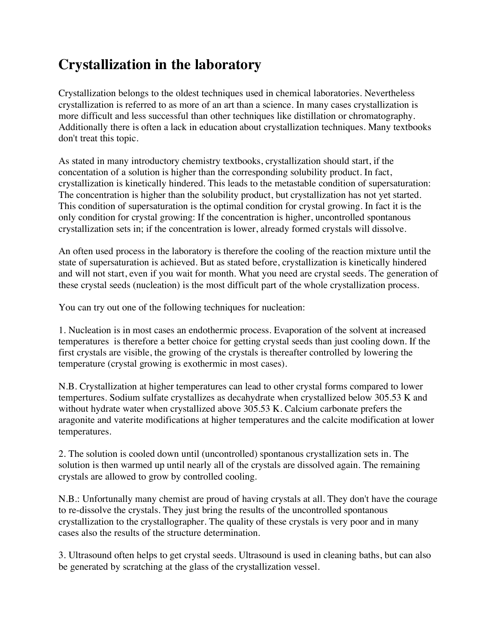# **Crystallization in the laboratory**

Crystallization belongs to the oldest techniques used in chemical laboratories. Nevertheless crystallization is referred to as more of an art than a science. In many cases crystallization is more difficult and less successful than other techniques like distillation or chromatography. Additionally there is often a lack in education about crystallization techniques. Many textbooks don't treat this topic.

As stated in many introductory chemistry textbooks, crystallization should start, if the concentation of a solution is higher than the corresponding solubility product. In fact, crystallization is kinetically hindered. This leads to the metastable condition of supersaturation: The concentration is higher than the solubility product, but crystallization has not yet started. This condition of supersaturation is the optimal condition for crystal growing. In fact it is the only condition for crystal growing: If the concentration is higher, uncontrolled spontanous crystallization sets in; if the concentration is lower, already formed crystals will dissolve.

An often used process in the laboratory is therefore the cooling of the reaction mixture until the state of supersaturation is achieved. But as stated before, crystallization is kinetically hindered and will not start, even if you wait for month. What you need are crystal seeds. The generation of these crystal seeds (nucleation) is the most difficult part of the whole crystallization process.

You can try out one of the following techniques for nucleation:

1. Nucleation is in most cases an endothermic process. Evaporation of the solvent at increased temperatures is therefore a better choice for getting crystal seeds than just cooling down. If the first crystals are visible, the growing of the crystals is thereafter controlled by lowering the temperature (crystal growing is exothermic in most cases).

N.B. Crystallization at higher temperatures can lead to other crystal forms compared to lower tempertures. Sodium sulfate crystallizes as decahydrate when crystallized below 305.53 K and without hydrate water when crystallized above 305.53 K. Calcium carbonate prefers the aragonite and vaterite modifications at higher temperatures and the calcite modification at lower temperatures.

2. The solution is cooled down until (uncontrolled) spontanous crystallization sets in. The solution is then warmed up until nearly all of the crystals are dissolved again. The remaining crystals are allowed to grow by controlled cooling.

N.B.: Unfortunally many chemist are proud of having crystals at all. They don't have the courage to re-dissolve the crystals. They just bring the results of the uncontrolled spontanous crystallization to the crystallographer. The quality of these crystals is very poor and in many cases also the results of the structure determination.

3. Ultrasound often helps to get crystal seeds. Ultrasound is used in cleaning baths, but can also be generated by scratching at the glass of the crystallization vessel.